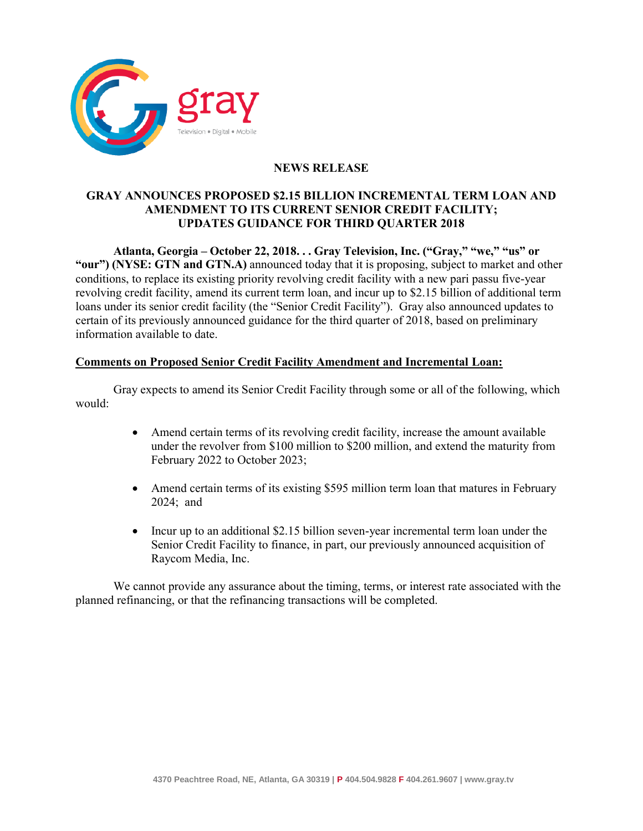

# **NEWS RELEASE**

## **GRAY ANNOUNCES PROPOSED \$2.15 BILLION INCREMENTAL TERM LOAN AND AMENDMENT TO ITS CURRENT SENIOR CREDIT FACILITY; UPDATES GUIDANCE FOR THIRD QUARTER 2018**

**Atlanta, Georgia – October 22, 2018. . . Gray Television, Inc. ("Gray," "we," "us" or "our") (NYSE: GTN and GTN.A)** announced today that it is proposing, subject to market and other conditions, to replace its existing priority revolving credit facility with a new pari passu five-year revolving credit facility, amend its current term loan, and incur up to \$2.15 billion of additional term loans under its senior credit facility (the "Senior Credit Facility"). Gray also announced updates to certain of its previously announced guidance for the third quarter of 2018, based on preliminary information available to date.

## **Comments on Proposed Senior Credit Facility Amendment and Incremental Loan:**

Gray expects to amend its Senior Credit Facility through some or all of the following, which would:

- Amend certain terms of its revolving credit facility, increase the amount available under the revolver from \$100 million to \$200 million, and extend the maturity from February 2022 to October 2023;
- Amend certain terms of its existing \$595 million term loan that matures in February 2024; and
- Incur up to an additional \$2.15 billion seven-year incremental term loan under the Senior Credit Facility to finance, in part, our previously announced acquisition of Raycom Media, Inc.

We cannot provide any assurance about the timing, terms, or interest rate associated with the planned refinancing, or that the refinancing transactions will be completed.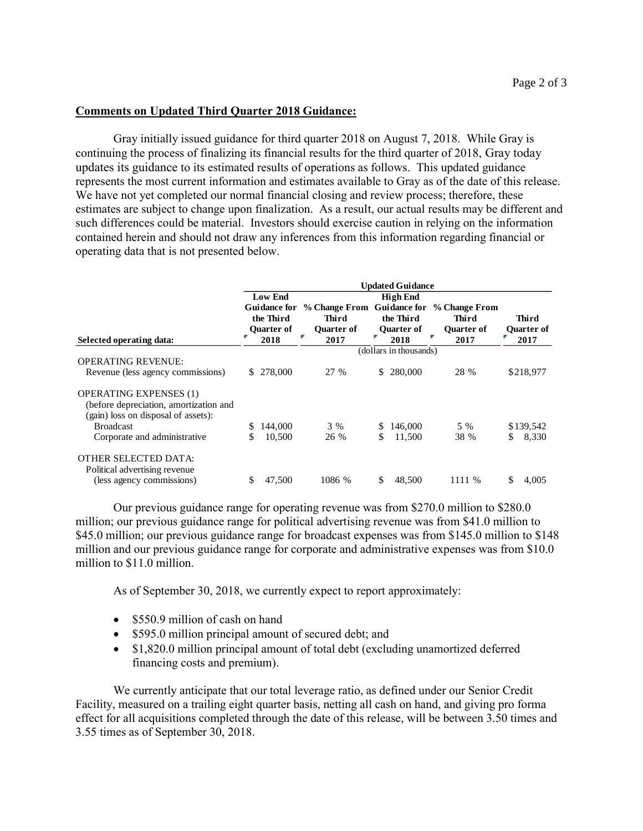## **Comments on Updated Third Quarter 2018 Guidance:**

Gray initially issued guidance for third quarter 2018 on August 7, 2018. While Gray is continuing the process of finalizing its financial results for the third quarter of 2018, Gray today updates its guidance to its estimated results of operations as follows. This updated guidance represents the most current information and estimates available to Gray as of the date of this release. We have not yet completed our normal financial closing and review process; therefore, these estimates are subject to change upon finalization. As a result, our actual results may be different and such differences could be material. Investors should exercise caution in relying on the information contained herein and should not draw any inferences from this information regarding financial or operating data that is not presented below.

|                                                                               | <b>Updated Guidance</b> |                                                |   |                                                           |    |                                |                                                                 |                            |
|-------------------------------------------------------------------------------|-------------------------|------------------------------------------------|---|-----------------------------------------------------------|----|--------------------------------|-----------------------------------------------------------------|----------------------------|
|                                                                               | <b>Low End</b>          |                                                |   |                                                           |    |                                |                                                                 |                            |
|                                                                               |                         | <b>Guidance for</b><br>the Third<br>Quarter of |   | <b>% Change From</b><br><b>Third</b><br><b>Ouarter of</b> |    | the Third<br><b>Quarter of</b> | Guidance for % Change From<br><b>Third</b><br><b>Ouarter of</b> | Third<br><b>Quarter of</b> |
| Selected operating data:                                                      |                         | 2018                                           | Г | 2017                                                      | Ŧ  | 2018                           | P<br>2017                                                       | 2017                       |
|                                                                               | (dollars in thousands)  |                                                |   |                                                           |    |                                |                                                                 |                            |
| <b>OPERATING REVENUE:</b>                                                     |                         |                                                |   |                                                           |    |                                |                                                                 |                            |
| Revenue (less agency commissions)                                             | S.                      | 278,000                                        |   | 27 %                                                      | S  | 280,000                        | 28 %                                                            | \$218,977                  |
| <b>OPERATING EXPENSES (1)</b>                                                 |                         |                                                |   |                                                           |    |                                |                                                                 |                            |
| (before depreciation, amortization and<br>(gain) loss on disposal of assets): |                         |                                                |   |                                                           |    |                                |                                                                 |                            |
| <b>Broadcast</b>                                                              | S                       | 144,000                                        |   | 3 %                                                       | S  | 146,000                        | 5 %                                                             | \$139,542                  |
| Corporate and administrative                                                  | \$                      | 10,500                                         |   | 26 %                                                      | \$ | 11,500                         | 38 %                                                            | \$<br>8,330                |
| <b>OTHER SELECTED DATA:</b><br>Political advertising revenue                  |                         |                                                |   |                                                           |    |                                |                                                                 |                            |
| (less agency commissions)                                                     | \$                      | 47,500                                         |   | 1086 %                                                    | \$ | 48,500                         | 1111 %                                                          | S<br>4,005                 |

Our previous guidance range for operating revenue was from \$270.0 million to \$280.0 million; our previous guidance range for political advertising revenue was from \$41.0 million to \$45.0 million; our previous guidance range for broadcast expenses was from \$145.0 million to \$148 million and our previous guidance range for corporate and administrative expenses was from \$10.0 million to \$11.0 million.

As of September 30, 2018, we currently expect to report approximately:

- $\bullet$  \$550.9 million of cash on hand
- \$595.0 million principal amount of secured debt; and
- \$1,820.0 million principal amount of total debt (excluding unamortized deferred financing costs and premium).

We currently anticipate that our total leverage ratio, as defined under our Senior Credit Facility, measured on a trailing eight quarter basis, netting all cash on hand, and giving pro forma effect for all acquisitions completed through the date of this release, will be between 3.50 times and 3.55 times as of September 30, 2018.